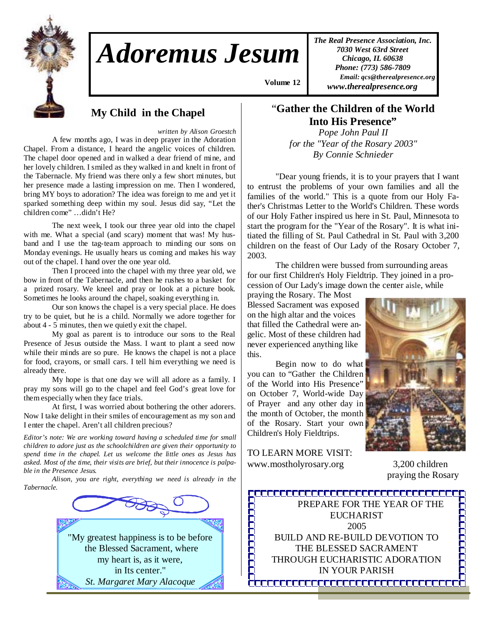

## *Adoremus Jesum*

 **Volume 12 ,**

*The Real Presence Association, Inc. 7030 West 63rd Street Chicago, IL 60638 Phone: (773) 586-7809 Email: qcs@therealpresence.org www.therealpresence.org* 

**My Child in the Chapel** 

*written by Alison Groestch* 

 A few months ago, I was in deep prayer in the Adoration Chapel. From a distance, I heard the angelic voices of children. The chapel door opened and in walked a dear friend of mine, and her lovely children. I smiled as they walked in and knelt in front of the Tabernacle. My friend was there only a few short minutes, but her presence made a lasting impression on me. Then I wondered, bring MY boys to adoration? The idea was foreign to me and yet it sparked something deep within my soul. Jesus did say, "Let the children come" …didn't He?

 The next week, I took our three year old into the chapel with me. What a special (and scary) moment that was! My husband and I use the tag-team approach to minding our sons on Monday evenings. He usually hears us coming and makes his way out of the chapel. I hand over the one year old.

 Then I proceed into the chapel with my three year old, we bow in front of the Tabernacle, and then he rushes to a basket for a prized rosary. We kneel and pray or look at a picture book. Sometimes he looks around the chapel, soaking everything in.

 Our son knows the chapel is a very special place. He does try to be quiet, but he is a child. Normally we adore together for about 4 - 5 minutes, then we quietly exit the chapel.

 My goal as parent is to introduce our sons to the Real Presence of Jesus outside the Mass. I want to plant a seed now while their minds are so pure. He knows the chapel is not a place for food, crayons, or small cars. I tell him everything we need is already there.

 My hope is that one day we will all adore as a family. I pray my sons will go to the chapel and feel God's great love for them especially when they face trials.

 At first, I was worried about bothering the other adorers. Now I take delight in their smiles of encouragement as my son and I enter the chapel. Aren't all children precious?

*Editor's note: We are working toward having a scheduled time for small children to adore just as the schoolchildren are given their opportunity to spend time in the chapel. Let us welcome the little ones as Jesus has asked. Most of the time, their visits are brief, but their innocence is palpable in the Presence Jesus.* 

 *Alison, you are right, everything we need is already in the Tabernacle.*



## "**Gather the Children of the World Into His Presence"**

*Pope John Paul II for the "Year of the Rosary 2003" By Connie Schnieder* 

 "Dear young friends, it is to your prayers that I want to entrust the problems of your own families and all the families of the world." This is a quote from our Holy Father's Christmas Letter to the World's Children. These words of our Holy Father inspired us here in St. Paul, Minnesota to start the program for the "Year of the Rosary". It is what initiated the filling of St. Paul Cathedral in St. Paul with 3,200 children on the feast of Our Lady of the Rosary October 7, 2003.

 The children were bussed from surrounding areas for our first Children's Holy Fieldtrip. They joined in a procession of Our Lady's image down the center aisle, while

praying the Rosary. The Most Blessed Sacrament was exposed on the high altar and the voices that filled the Cathedral were angelic. Most of these children had never experienced anything like this.

 Begin now to do what you can to "Gather the Children of the World into His Presence" on October 7, World-wide Day of Prayer and any other day in the month of October, the month of the Rosary. Start your own Children's Holy Fieldtrips.

TO LEARN MORE VISIT: www.mostholyrosary.org 3,200 children



praying the Rosary